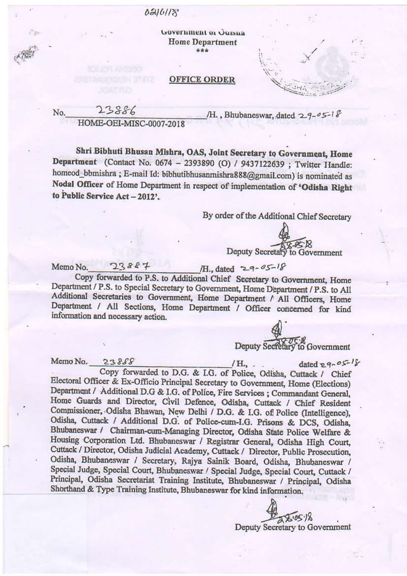## 0210118

Government of Outsita **Home Department** \*\*\*

## **OFFICE ORDER**

23886 No.

i sv

/H., Bhubaneswar, dated 29-05-18

HOME-OEI-MISC-0007-2018

Shri Bibhuti Bhusan Mishra, OAS, Joint Secretary to Government, Home Department (Contact No. 0674 - 2393890 (O) / 9437122639; Twitter Handle: homeod\_bbmishra; E-mail Id: bibhutibhusanmishra888@gmail.com) is nominated as Nodal Officer of Home Department in respect of implementation of 'Odisha Right to Public Service Act - 2012'.

By order of the Additional Chief Secretary

Deputy Secretary to Government

23887  $I$ H., dated  $29 - 05 - 18$ Memo No. Copy forwarded to P.S. to Additional Chief Secretary to Government, Home Department / P.S. to Special Secretary to Government, Home Department / P.S. to All

Additional Secretaries to Government, Home Department / All Officers, Home Department / All Sections, Home Department / Officer concerned for kind information and necessary action.

Deputy Secretary to Government

Memo No.  $23888$ 

 $/H_{\rm b}$ .  $dated 29 - 05 - 8$ Copy forwarded to D.G. & I.G. of Police, Odisha, Cuttack / Chief Electoral Officer & Ex-Officio Principal Secretary to Government, Home (Elections) Department / Additional D.G & I.G. of Police, Fire Services; Commandant General, Home Guards and Director, Civil Defence, Odisha, Cuttack / Chief Resident Commissioner, Odisha Bhawan, New Delhi / D.G. & I.G. of Police (Intelligence), Odisha, Cuttack / Additional D.G. of Police-cum-I.G. Prisons & DCS, Odisha, Bhubaneswar / Chairman-cum-Managing Director, Odisha State Police Welfare & Housing Corporation Ltd. Bhubaneswar / Registrar General, Odisha High Court, Cuttack / Director, Odisha Judicial Academy, Cuttack / Director, Public Prosecution, Odisha, Bhubaneswar / Secretary, Rajya Sainik Board, Odisha, Bhubaneswar / Special Judge, Special Court, Bhubaneswar / Special Judge, Special Court, Cuttack / Principal, Odisha Secretariat Training Institute, Bhubaneswar / Principal, Odisha Shorthand & Type Training Institute, Bhubaneswar for kind information.

 $28.05.18$ 

Deputy Secretary to Government